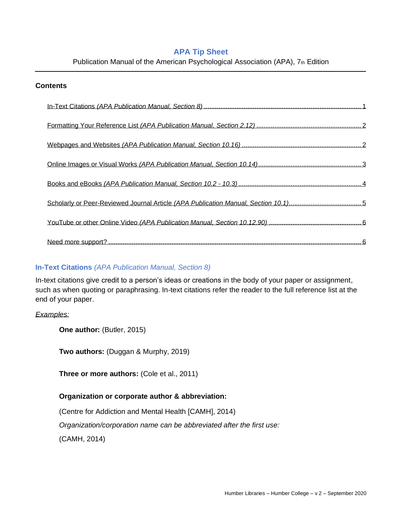# **APA Tip Sheet**

Publication Manual of the American Psychological Association (APA), 7th Edition

## **Contents**

# <span id="page-0-0"></span>**In-Text Citations** *(APA Publication Manual, Section 8)*

In-text citations give credit to a person's ideas or creations in the body of your paper or assignment, such as when quoting or paraphrasing. In-text citations refer the reader to the full reference list at the end of your paper.

## *Examples:*

**One author:** (Butler, 2015)

**Two authors:** (Duggan & Murphy, 2019)

**Three or more authors:** (Cole et al., 2011)

# **Organization or corporate author & abbreviation:**

(Centre for Addiction and Mental Health [CAMH], 2014)

*Organization/corporation name can be abbreviated after the first use:*

(CAMH, 2014)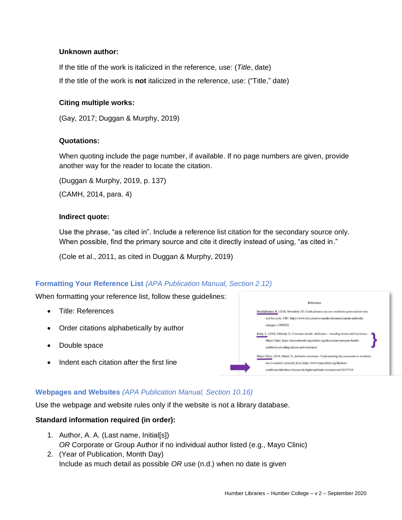# **Unknown author:**

If the title of the work is italicized in the reference, use: (*Title*, date) If the title of the work is **not** italicized in the reference, use: ("Title," date)

## **Citing multiple works:**

(Gay, 2017; Duggan & Murphy, 2019)

### **Quotations:**

When quoting include the page number, if available. If no page numbers are given, provide another way for the reader to locate the citation.

(Duggan & Murphy, 2019, p. 137) (CAMH, 2014, para. 4)

### **Indirect quote:**

Use the phrase, "as cited in". Include a reference list citation for the secondary source only. When possible, find the primary source and cite it directly instead of using, "as cited in."

(Cole et al., 2011, as cited in Duggan & Murphy, 2019)

# <span id="page-1-0"></span>**Formatting Your Reference List** *(APA Publication Manual, Section 2.12)*

When formatting your reference list, follow these guidelines:

- Title: References
- Order citations alphabetically by author
- Double space
- Indent each citation after the first line



# <span id="page-1-1"></span>**Webpages and Websites** *(APA Publication Manual, Section 10.16)*

Use the webpage and website rules only if the website is not a library database.

# **Standard information required (in order):**

- 1. Author, A. A. (Last name, Initial[s]) *OR* Corporate or Group Author if no individual author listed (e.g., Mayo Clinic)
- 2. (Year of Publication, Month Day) Include as much detail as possible *OR* use (n.d.) when no date is given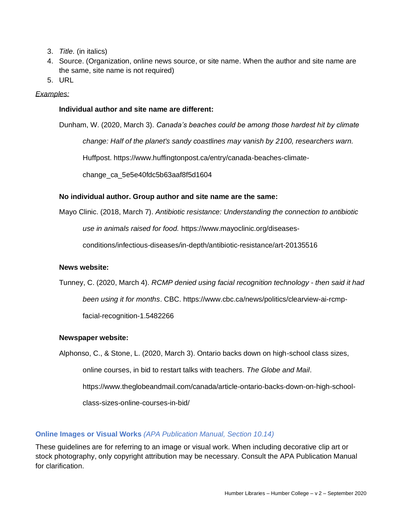- 3. *Title.* (in italics)
- 4. Source. (Organization, online news source, or site name. When the author and site name are the same, site name is not required)
- 5. URL

# *Examples:*

### **Individual author and site name are different:**

Dunham, W. (2020, March 3). *Canada's beaches could be among those hardest hit by climate* 

*change: Half of the planet's sandy coastlines may vanish by 2100, researchers warn.*

Huffpost. https://www.huffingtonpost.ca/entry/canada-beaches-climate-

change\_ca\_5e5e40fdc5b63aaf8f5d1604

### **No individual author. Group author and site name are the same:**

Mayo Clinic. (2018, March 7). *Antibiotic resistance: Understanding the connection to antibiotic* 

*use in animals raised for food.* https://www.mayoclinic.org/diseases-

conditions/infectious-diseases/in-depth/antibiotic-resistance/art-20135516

### **News website:**

Tunney, C. (2020, March 4). *RCMP denied using facial recognition technology - then said it had been using it for months*. CBC. https://www.cbc.ca/news/politics/clearview-ai-rcmpfacial-recognition-1.5482266

### **Newspaper website:**

Alphonso, C., & Stone, L. (2020, March 3). Ontario backs down on high-school class sizes,

online courses, in bid to restart talks with teachers. *The Globe and Mail*.

https://www.theglobeandmail.com/canada/article-ontario-backs-down-on-high-school-

class-sizes-online-courses-in-bid/

### <span id="page-2-0"></span>**Online Images or Visual Works** *(APA Publication Manual, Section 10.14)*

These guidelines are for referring to an image or visual work. When including decorative clip art or stock photography, only copyright attribution may be necessary. Consult the APA Publication Manual for clarification.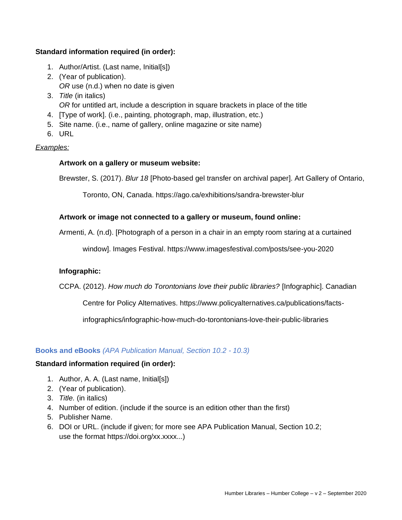# **Standard information required (in order):**

- 1. Author/Artist. (Last name, Initial[s])
- 2. (Year of publication). *OR* use (n.d.) when no date is given
- 3. *Title* (in italics) *OR* for untitled art, include a description in square brackets in place of the title
- 4. [Type of work]. (i.e., painting, photograph, map, illustration, etc.)
- 5. Site name. (i.e., name of gallery, online magazine or site name)
- 6. URL

# *Examples:*

# **Artwork on a gallery or museum website:**

Brewster, S. (2017). *Blur 18* [Photo-based gel transfer on archival paper]. Art Gallery of Ontario,

Toronto, ON, Canada. https://ago.ca/exhibitions/sandra-brewster-blur

# **Artwork or image not connected to a gallery or museum, found online:**

Armenti, A. (n.d). [Photograph of a person in a chair in an empty room staring at a curtained

window]. Images Festival. https://www.imagesfestival.com/posts/see-you-2020

# **Infographic:**

CCPA. (2012). *How much do Torontonians love their public libraries?* [Infographic]. Canadian

Centre for Policy Alternatives. https://www.policyalternatives.ca/publications/facts-

infographics/infographic-how-much-do-torontonians-love-their-public-libraries

### <span id="page-3-0"></span>**Books and eBooks** *(APA Publication Manual, Section 10.2 - 10.3)*

# **Standard information required (in order):**

- 1. Author, A. A. (Last name, Initial[s])
- 2. (Year of publication).
- 3. *Title.* (in italics)
- 4. Number of edition. (include if the source is an edition other than the first)
- 5. Publisher Name.
- 6. DOI or URL. (include if given; for more see APA Publication Manual, Section 10.2; use the format https://doi.org/xx.xxxx...)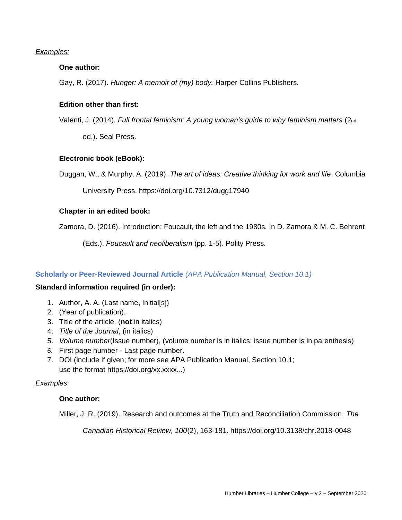# *Examples:*

## **One author:**

Gay, R. (2017). *Hunger: A memoir of (my) body.* Harper Collins Publishers.

## **Edition other than first:**

Valenti, J. (2014). *Full frontal feminism: A young woman's guide to why feminism matters* (2nd

ed.). Seal Press.

### **Electronic book (eBook):**

Duggan, W., & Murphy, A. (2019). *The art of ideas: Creative thinking for work and life*. Columbia

University Press. https://doi.org/10.7312/dugg17940

### **Chapter in an edited book:**

Zamora, D. (2016). Introduction: Foucault, the left and the 1980s*.* In D. Zamora & M. C. Behrent

(Eds.), *Foucault and neoliberalism* (pp. 1-5). Polity Press.

# <span id="page-4-0"></span>**Scholarly or Peer-Reviewed Journal Article** *(APA Publication Manual, Section 10.1)*

### **Standard information required (in order):**

- 1. Author, A. A. (Last name, Initial[s])
- 2. (Year of publication).
- 3. Title of the article. (**not** in italics)
- 4. *Title of the Journal*, (in italics)
- 5. *Volume number*(Issue number), (volume number is in italics; issue number is in parenthesis)
- 6. First page number Last page number.
- 7. DOI (include if given; for more see APA Publication Manual, Section 10.1; use the format https://doi.org/xx.xxxx...)

### *Examples:*

### **One author:**

Miller, J. R. (2019). Research and outcomes at the Truth and Reconciliation Commission. *The* 

*Canadian Historical Review, 100*(2), 163-181. https://doi.org/10.3138/chr.2018-0048